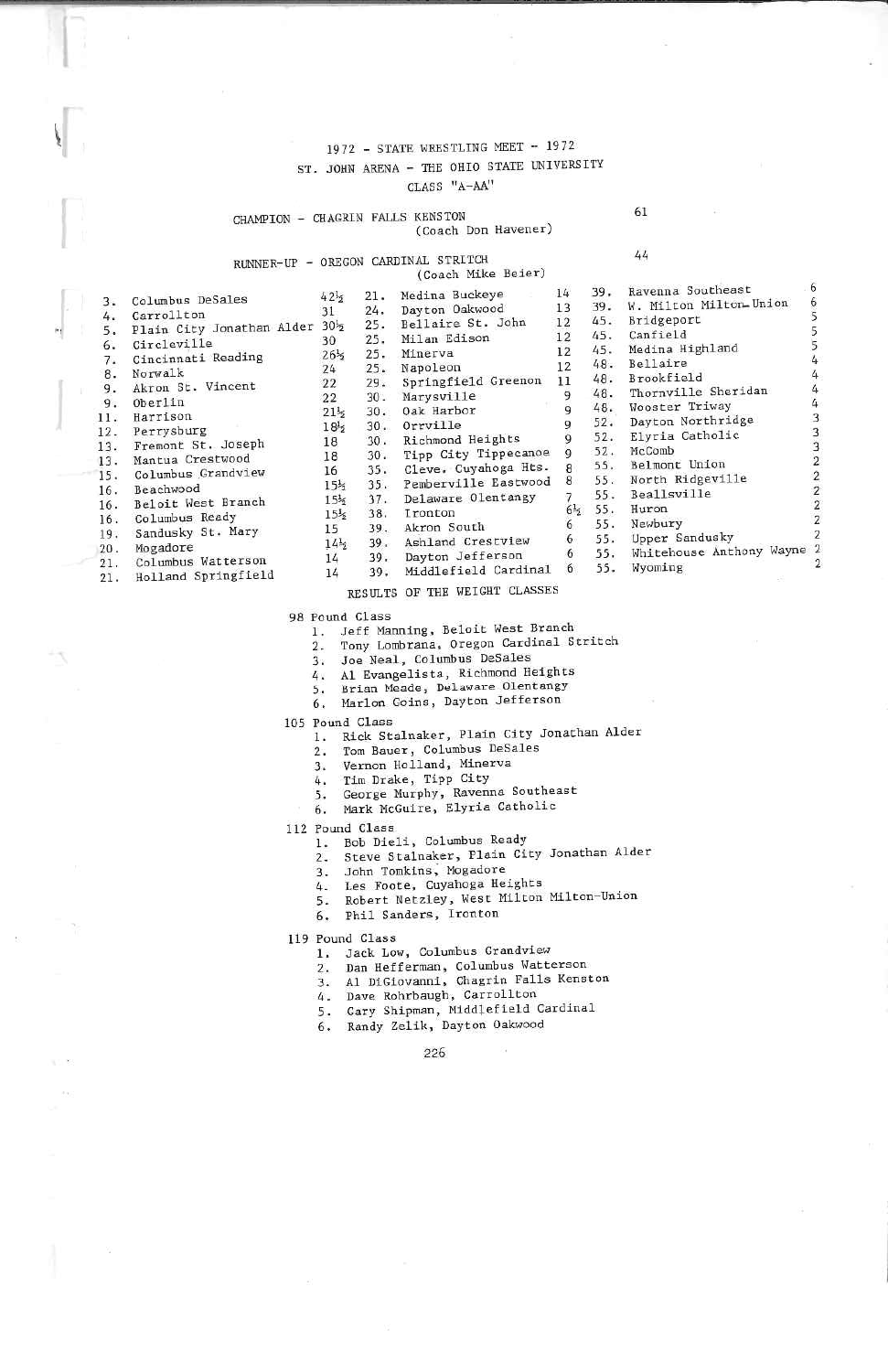### 1972 - STATE WRESTLING MEET - 1972 ST. JOHN ARENA - THE OHIO STATE UNIVERSITY CLASS "A-AA"

CHAMPION - CHAGRIN FALLS KENSTON

61

## RUNNER-UP - OREGON CARDINAL STRITCH  $21.$

 $24.$ 

 $25.$ 

 $25.$ 

 $25.$ 

 $25.$ 

 $29.$ 

 $30.$ 

 $30.$ 

 $30.$ 

30.

35.

 $37.$ 

39.

39.

 $42\frac{1}{2}$ 

 $21\frac{1}{2}$ 30.

 $15\frac{1}{2}$ 35.

 $15\frac{1}{2}$ 

 $15\frac{1}{2}$ 38.

 $14\frac{1}{2}$  $39.$ 

 $14$ 

(Coach Mike Beier) Medina Buckeye Dayton Oakwood

Bellaire St. John

Springfield Greenon

Richmond Heights

Tipp City Tippecanoe

Cleve. Cuyahoga Hts.

Pemberville Eastwood

Delaware Olentangy

Ashland Crestview

Dayton Jefferson

Milan Edison

Marysville

Oak Harbor

 $0$ rrville

Ironton

Akron South

Minerva

Napoleon

(Coach Don Havener)

 $14$ 39

 $13$ 39

 $12$ 

 $12$ 

12  $48$ 

9

 $\overline{Q}$ 

 $\overline{q}$ 

9

 $\overline{9}$ 52

8

 $\tilde{8}$ 55

 $6\frac{1}{2}$  $5$ 

6

 $6<sup>1</sup>$ 5

6 5

6 5

11

 $45$  $12$ 

> $5!$  $\overline{7}$

|                    | $42\frac{1}{2}$                                                                                                                                                                                                                                                                                                                              |
|--------------------|----------------------------------------------------------------------------------------------------------------------------------------------------------------------------------------------------------------------------------------------------------------------------------------------------------------------------------------------|
|                    | 31                                                                                                                                                                                                                                                                                                                                           |
|                    |                                                                                                                                                                                                                                                                                                                                              |
|                    | 30                                                                                                                                                                                                                                                                                                                                           |
|                    | $26\frac{1}{5}$                                                                                                                                                                                                                                                                                                                              |
|                    | $24^{2}$                                                                                                                                                                                                                                                                                                                                     |
|                    | 22                                                                                                                                                                                                                                                                                                                                           |
|                    | 22                                                                                                                                                                                                                                                                                                                                           |
|                    | $21\frac{1}{2}$                                                                                                                                                                                                                                                                                                                              |
|                    | $18\frac{1}{2}$                                                                                                                                                                                                                                                                                                                              |
|                    | 18                                                                                                                                                                                                                                                                                                                                           |
|                    | 18                                                                                                                                                                                                                                                                                                                                           |
|                    |                                                                                                                                                                                                                                                                                                                                              |
|                    | 16                                                                                                                                                                                                                                                                                                                                           |
|                    | $15\frac{1}{2}$                                                                                                                                                                                                                                                                                                                              |
|                    | 15 <sup>1</sup>                                                                                                                                                                                                                                                                                                                              |
|                    | $15\frac{1}{2}$                                                                                                                                                                                                                                                                                                                              |
|                    |                                                                                                                                                                                                                                                                                                                                              |
|                    | 15                                                                                                                                                                                                                                                                                                                                           |
|                    | 14 <sup>1</sup>                                                                                                                                                                                                                                                                                                                              |
| Columbus Watterson | 14                                                                                                                                                                                                                                                                                                                                           |
|                    | Columbus DeSales<br>Carrollton<br>Plain City Jonathan Alder 301/2<br>Circleville<br>Cincinnati Reading<br>Norwalk<br>Akron St. Vincent<br>Oberlin<br>Harrison<br>Perrysburg<br>Fremont St. Joseph<br>13.<br>Mantua Crestwood<br>Columbus Grandview<br>Beachwood<br>16. Beloit West Branch<br>Columbus Ready<br>Sandusky St. Mary<br>Mogadore |

- $21.$
- $21.$ Holland Springfield
- 39. Middlefield Cardinal RESULTS OF THE WEIGHT CLASSES

98 Pound Class

- 1. Jeff Manning, Beloit West Branch
- 2. Tony Lombrana, Oregon Cardinal Stritch
- 3. Joe Neal, Columbus DeSales
- Al Evangelista, Richmond Heights 4.
- Brian Meade, Delaware Olentangy  $5.$
- 6. Marlon Goins, Dayton Jefferson
- 105 Pound Class
	- 1. Rick Stalnaker, Plain City Jonathan Alder
		- Tom Bauer, Columbus DeSales  $2.$
		- Vernon Holland, Minerva 3.
		- 4.
		- Tim Drake, Tipp City<br>George Murphy, Ravenna Southeast 5.
		- 6. Mark McGuire, Elyria Catholic
- 112 Pound Class
	- 1. Bob Dieli, Columbus Ready
	- Steve Stalnaker, Plain City Jonathan Alder  $2.$
	- 3. John Tomkins, Mogadore
	- Les Foote, Cuyahoga Heights 4.
	- 5. Robert Netzley, West Milton Milton-Union
	- 6. Phil Sanders, Ironton

119 Pound Class

- 
- 1. Jack Low, Columbus Grandview<br>2. Dan Hefferman, Columbus Watterson
- 3. Al DiCiovanni, Chagrin Falls Kenston
- 4. Dave Rohrbaugh, Carrollton
- 5. Cary Shipman, Middlefield Cardinal<br>6. Randy Zelik, Dayton Oakwood
- 

226

44

|     | 39. Ravenna Southeast        | 6 <sup>6</sup> |
|-----|------------------------------|----------------|
|     |                              | 6              |
|     | 39. W. Milton Milton Union   |                |
|     | 45. Bridgeport               | 5              |
|     | 45. Canfield                 | $\frac{5}{5}$  |
|     | 45. Medina Highland          |                |
|     | 48. Bellaire                 | 4              |
|     | 48. Brookfield               | 4              |
|     | 48. Thornville Sheridan      | 4              |
|     | 48. Wooster Triway           | 4              |
|     | 52. Dayton Northridge        | 3              |
|     | 52. Elyria Catholic          | 3              |
|     | 52. McComb                   | 3              |
|     | 55. Belmont Union            | $\overline{2}$ |
|     | 55. North Ridgeville         | $\overline{2}$ |
|     | 55. Beallsville              | $\overline{2}$ |
|     | 55. Huron                    | $\overline{2}$ |
|     | 55. Newbury                  | $\overline{2}$ |
|     | 55. Upper Sandusky           | 2              |
|     | 55. Whitehouse Anthony Wayne | 2              |
| 55. | Wyoming                      | 2              |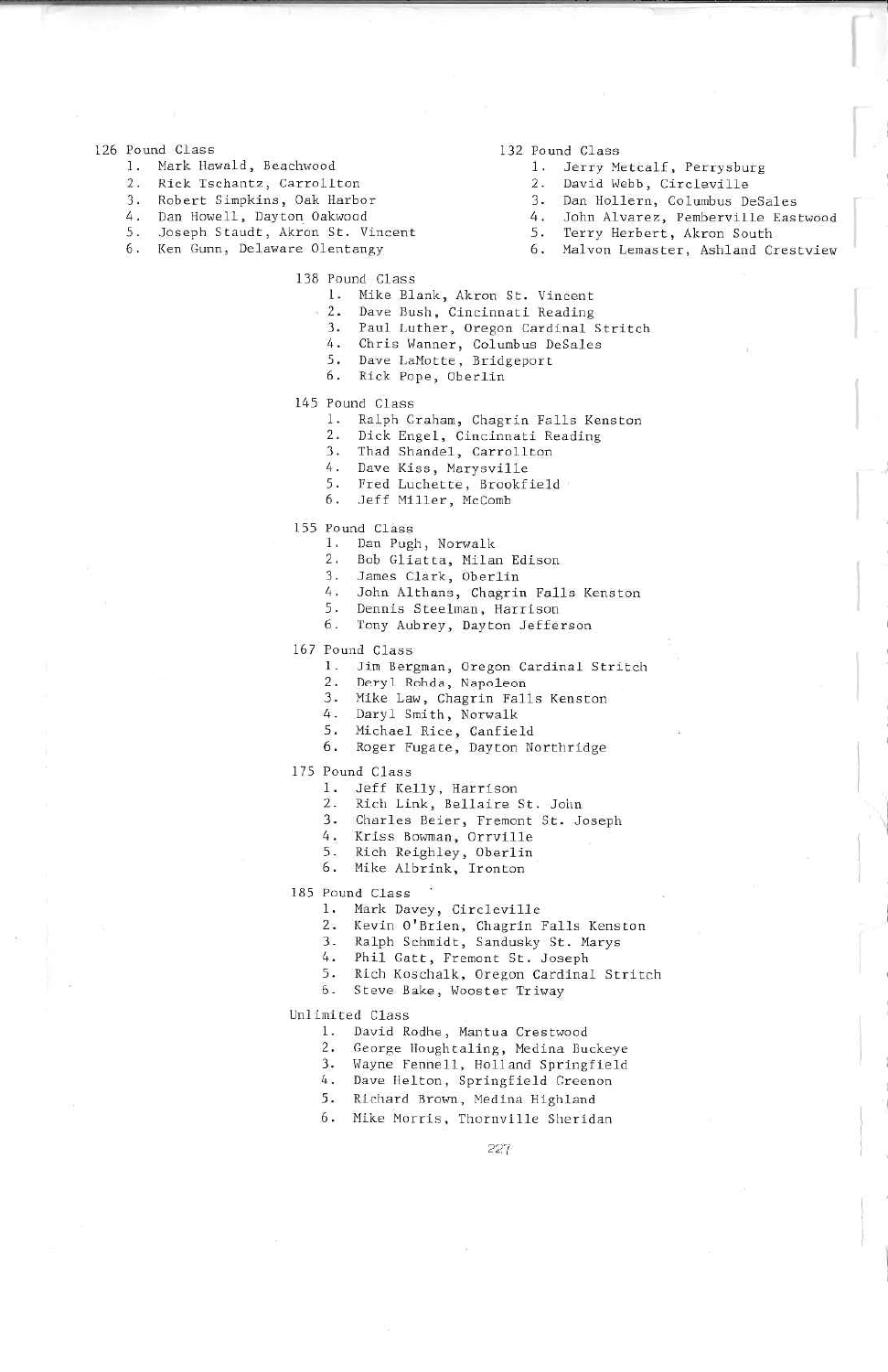#### 126 Pound Class

- 1. Mark Hawald, Beachwood
- $2.$ Rick Tschantz, Carrollton
- 3. Robert Simpkins, Oak Harbor
- 4. Dan Howell, Dayton Oakwood
- 5. Joseph Staudt, Akron St. Vincent
- 6. Ken Gunn, Delaware Olentangy
- 132 Pound Class
	- 1. Jerry Metcalf, Perrysburg
	- David Webb, Circleville  $2.$
	- 3. Dan Hollern, Columbus DeSales
	- 4. John Alvarez, Pemberville Eastwood
	- 5. Terry Herbert, Akron South
	- 6. Malvon Lemaster, Ashland Crestview
- 138 Pound Class
	- 1. Mike Blank, Akron St. Vincent
	- Dave Bush, Cincinnati Reading  $2.$
	- 3. Paul Luther, Oregon Cardinal Stritch
	- 4. Chris Wanner, Columbus DeSales
	- 5. Dave LaMotte, Bridgeport
	- 6. Rick Pope, Oberlin
- 145 Pound Class
	- 1. Ralph Graham, Chagrin Falls Kenston
	- 2. Dick Engel, Cincinnati Reading
	- 3. Thad Shandel, Carrollton
	- 4. Dave Kiss, Marysville
	- 4. Dave Kiss, Harrowskield<br>5. Fred Luchette, Brookfield
	- 6. Jeff Miller, McComb
- 155 Pound Class
	- 1. Dan Pugh, Norwalk
	- Bob Gliatta, Milan Edison<br>James Clark, Oberlin  $2.$
	- $3.$
	- 4. John Althans, Chagrin Falls Kenston
	- 5. Dennis Steelman, Harrison
	- 6. Tony Aubrey, Dayton Jefferson
- 167 Pound Class
	- 1. Jim Bergman, Oregon Cardinal Stritch
	- 2. Deryl Rohda, Napoleon
		- 3. Mike Law, Chagrin Falls Kenston
		-
		-
	- 4. Daryl Smith, Norwalk<br>5. Michael Rice, Canfield<br>6. Roger Fugate, Dayton Northridge
- 175 Pound Class
	-
- 1. Jeff Kelly, Harrison<br>2. Rich Link, Bellaire St. John
	- 3. Charles Beier, Fremont St. Joseph
	- 4. Kriss Bowman, Orrville
	-
	- 5. Rich Reighley, Oberlin<br>6. Mike Albrink, Ironton
- 185 Pound Class
	- 1. Mark Davey, Circleville
		- 2. Kevin O'Brien, Chagrin Falls Kenston<br>3. Ralph Schmidt, Sandusky St. Marys
		-
		- 4. Phil Gatt, Fremont St. Joseph
		- 5. Rich Koschalk, Oregon Cardinal Stritch
		- 6. Steve Bake, Wooster Triway
	-
- Unlimited Class
	- 1. David Rodhe, Mantua Crestwood
	- 2. George Houghtaling, Medina Buckeve
	- 3. Wayne Fennell, Holland Springfield
	- 4. Dave Helton, Springfield Greenon
	- 5. Richard Brown, Medina Highland
	- 6. Mike Morris, Thornville Sheridan

227

- 
- 
-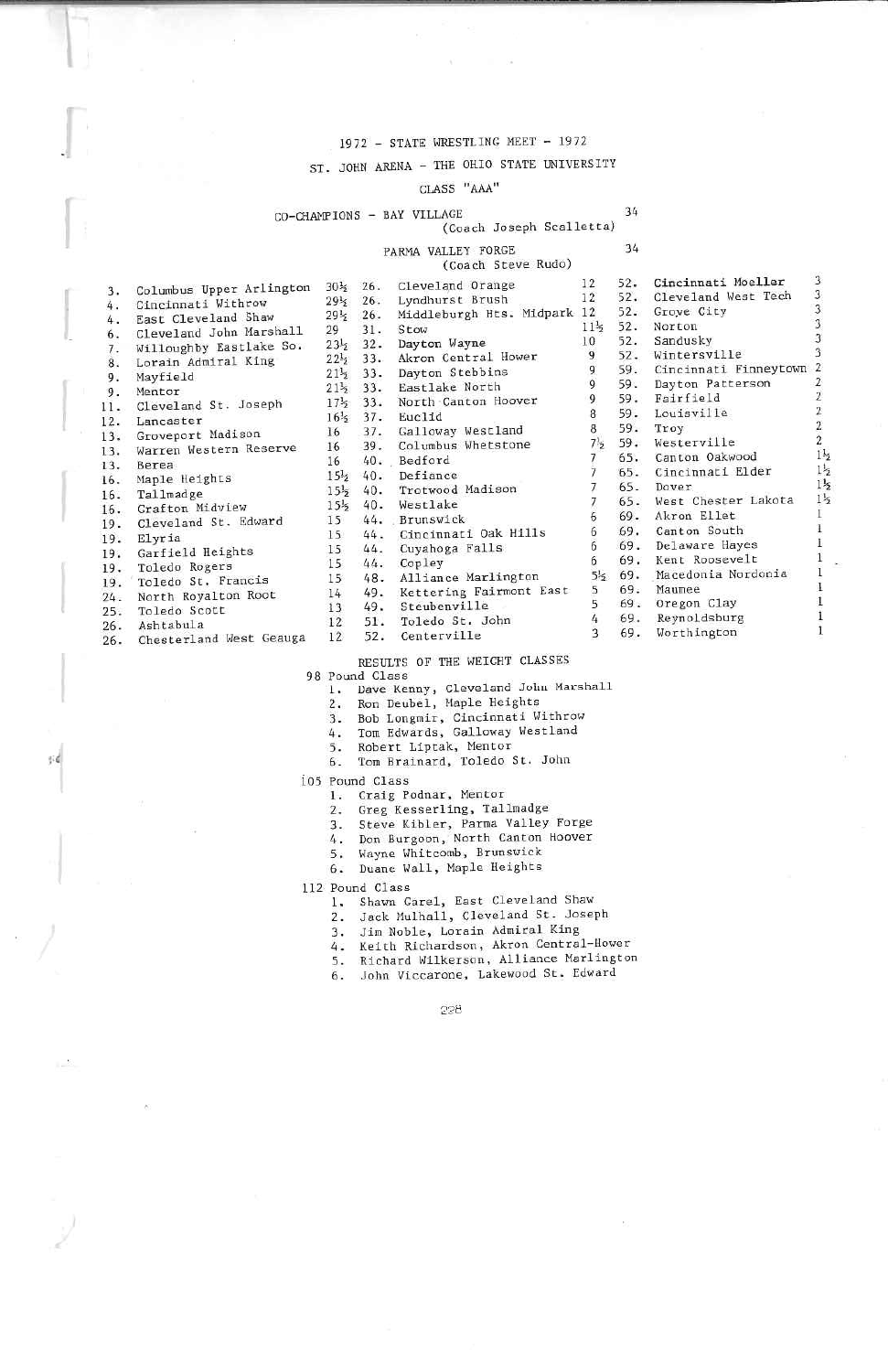### 1972 - STATE WRESTLING MEET - 1972

### ST. JOHN ARENA - THE OHIO STATE UNIVERSITY

## CLASS "AAA"

### CO-CHAMPIONS - BAY VILLAGE

34 34

 $\overline{3}$ 

 $\mathbf{3}$ 

 $\overline{3}$ 

 $\overline{2}$ 

 $\bar{2}$ 

 $\mathbf{2}% ^{2}+\mathbf{2}_{1}\times\mathbf{2}_{2}$ 

 $\overline{c}$ 

 $1\frac{1}{2}$ 

 $1\frac{1}{2}$ 

 $1\frac{1}{2}$ 

 $1\frac{1}{2}$ 

 $\bar{1}$ 

 $\mathbf{I}$ 

 $\mathbf{I}$ 

1

1

1

 $\mathbf{I}$ 

# (Coach Joseph Scalletta)

#### PARMA VALLEY FORGE (Coach Steve Rudo)

|     | Columbus Upper Arlington | $30\frac{1}{2}$ | 26.    | Cleveland Orange         | 12               | $52-$ | Cincinnati Moeller    | з |
|-----|--------------------------|-----------------|--------|--------------------------|------------------|-------|-----------------------|---|
| 3.  | Cincinnati Withrow       | $29\frac{1}{2}$ | 26.    | Lyndhurst Brush          | 12               | 52.   | Cleveland West Tech   | 3 |
| 4.  | East Cleveland Shaw      | $29\frac{1}{2}$ | 26.    | Middleburgh Hts. Midpark | 12               | 52.   | Groye City            | 3 |
| 4.  | Cleveland John Marshall  | 29              | 31.    | Stow                     | $11\frac{1}{2}$  | 52.   | Norton                |   |
| 6.  |                          | $23\frac{1}{2}$ | $32 -$ | Dayton Wayne             | 10               | 52.   | Sandusky              |   |
| 7.  | Willoughby Eastlake So.  | $22\frac{1}{2}$ | 33.    | Akron Central Hower      | 9                | 52.   | Wintersville          |   |
| 8.  | Lorain Admiral King      | $21\frac{1}{2}$ | 33.    | Dayton Stebbins          | 9                | 59.   | Cincinnati Finneytown |   |
| 9.  | Mayfield                 | $21\frac{1}{2}$ | 33.    | Eastlake North           | $\mathbf{Q}$     | 59.   | Dayton Patterson      |   |
| 9.  | Mentor                   | $17\frac{1}{2}$ | 33.    | North Canton Hoover      | 9                | 59.   | Fairfield             |   |
| 11. | Cleveland St. Joseph     | 16 <sup>1</sup> | $37 -$ | Euclid                   | 8                | 59.   | Louisville            |   |
| 12. | Lancaster                | 16              | 37.    | Galloway Westland        | 8                | 59.   | Troy                  |   |
| 13. | Groveport Madison        | 16              | 39.    | Columbus Whetstone       | 7!s              | 59.   | Westerville           |   |
| 13. | Warren Western Reserve   | 16              |        | 40. Bedford              |                  | 65.   | Canton Oakwood        |   |
| 13. | Berea                    | $15\frac{1}{2}$ | 40.    | Defiance                 |                  | 65.   | Cincinnati Elder      |   |
| 16. | Maple Heights            |                 | 40.    | Trotwood Madison         |                  | 65.   | Dover                 |   |
| 16. | Tallmadge                | $15\frac{1}{2}$ |        |                          |                  | 65.   | West Chester Lakota   |   |
| 16. | Grafton Midview          | $15\frac{1}{2}$ | 40.    | Westlake                 |                  | 69.   | Akron Ellet           |   |
| 19. | Cleveland St. Edward     | 15              |        | 44. Brunswick            |                  |       |                       |   |
| 19. | Elyria                   | 15              | 44.    | Cincinnati Oak Hills     | 6                | 69.   | Canton South          |   |
| 19. | Garfield Heights         | 15              | 44.    | Cuyahoga Falls           | 6                | 69.   | Delaware Hayes        |   |
| 19. | Toledo Rogers            | 15              | 44.    | Copley                   |                  | 69.   | Kent Roosevelt        |   |
| 19. | Toledo St. Francis       | 15              | 48.    | Alliance Marlington      | 5 <sup>1</sup> 5 | 69.   | Macedonia Nordonia    |   |
| 24. | North Royalton Root      | 14              | 49.    | Kettering Fairmont East  |                  | 69.   | Maumee                |   |
| 25. | Toledo Scott             | 13              | 49.    | Steubenville             |                  | 69.   | Oregon Clay           |   |
| 26. | Ashtabula                | 12              | 51.    | Toledo St. John          |                  | 69.   | Reynoldsburg          |   |
| 26. | Chesterland West Geauga  | 12              | 52.    | Centerville              |                  | 69.   | Worthington           |   |
|     |                          |                 |        |                          |                  |       |                       |   |

邪

RESULTS OF THE WEIGHT CLASSES

98 Pound Class

1. Dave Kenny, Cleveland John Marshall<br>2. Ron Deubel, Maple Heights

- 3. Bob Longmir, Cincinnati Withrow
	- Tom Edwards, Galloway Westland
- $\frac{4}{5}$ .
- 5. Robert Liptak, Mentor<br>6. Tom Brainard, Toledo St. John
- 105 Pound Class
	- 1. Craig Podnar, Mentor
	- 2. Greg Kesserling, Tallmadge
	-
	- 3. Steve Kibler, Parma Valley Forge<br>4. Don Burgoon, North Canton Hoover
		-
	- 5. Wayne Whitcomb, Brunswick
	- 6. Duane Wall, Maple Heights

112 Pound Class

- 1. Shawn Gare1, East Cleveland Shaw
	- 2. Jack Mulhall, Cleveland St. Joseph
	- Jim Noble, Lorain Admiral King  $3.$
	- 4. Keith Richardson, Akron Central-Hower
- 5. Richard Wilkerson, Alliance Marlington<br>6. John Viccarone, Lakewood St. Edward
-